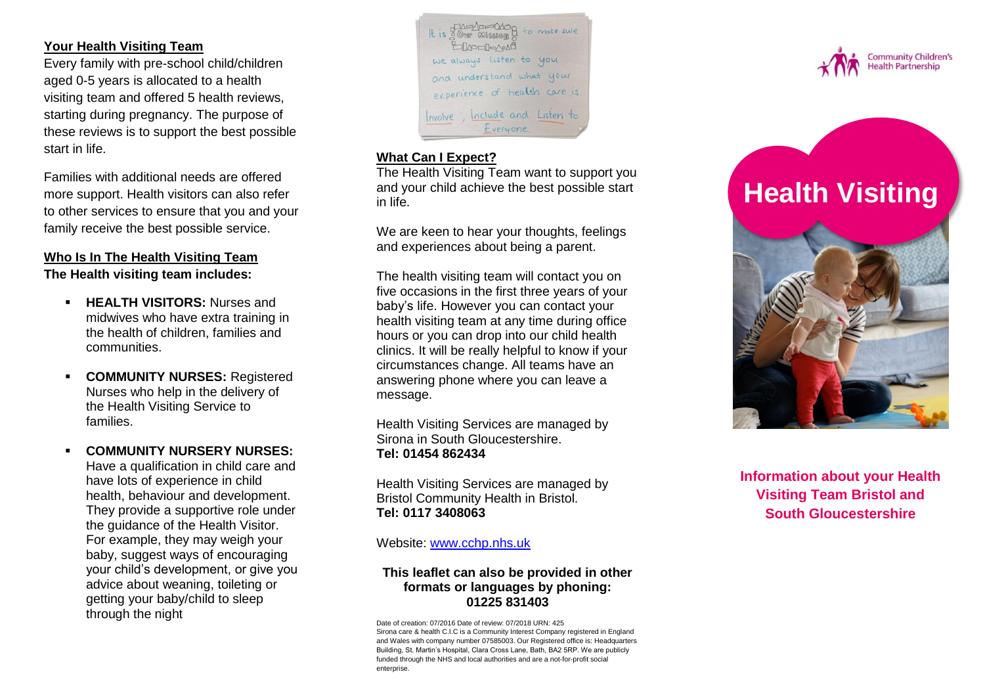### **Your Health Visiting Team**

Every family with pre -school child/children aged 0 -5 years is allocated to a health visiting team and offered 5 health reviews, starting during pregnancy. The purpose of these reviews is to support the best possible start in life.

Families with additional needs are offered more support. Health visitors can also refer to other services to ensure that you and your family receive the best possible service.

# **Who Is In The Health Visiting Team**

**The Health visiting team includes:**

- **HEALTH VISITORS: Nurses and** midwives who have extra training in the health of children, families and communities.
- **COMMUNITY NURSES: Registered** Nurses who help in the delivery of the Health Visiting Service to families.
- **COMMUNITY NURSERY NURSES:**  Have a qualification in child care and have lots of experience in child health, behaviour and development. They provide a supportive role under the guidance of the Health Visitor. For example, they may weigh your baby, suggest ways of encouraging your child's development, or give you advice about weaning, toileting or getting your baby/child to sleep through the night



### **What Can I Expect?**

The Health Visiting Team want to support you and your child achieve the best possible start in life.

We are keen to hear your thoughts, feelings and experiences about being a parent.

The health visiting team will contact you on five occasions in the first three years of your baby's life. However you can contact your health visiting team at any time during office hours or you can drop into our child health clinics. It will be really helpful to know if your circumstances change. All teams have an answering phone where you can leave a message.

Health Visiting Services are managed by Sirona in South Gloucestershire. **Tel: 01454 862434**

Health Visiting Services are managed by Bristol Community Health in Bristol . **Tel: 0117 3408063**

### Website: [www.cchp.nhs.uk](http://www.cchp.nhs.uk/)

### **This leaflet can also be provided in other formats or languages by phoning: 01225 831403**

Date of creation: 07/2016 Date of review: 07/2018 URN: 425 Sirona care & health C.I.C is a Community Interest Company registered in England and Wales with company number 07585003. Our Registered office is: Headquarters Building, St. Martin's Hospital, Clara Cross Lane, Bath, BA2 5RP. We are publicly funded through the NHS and local authorities and are a not-for-profit social enterprise.



# **Health Visiting**



**Information about your Health Visiting Team Bristol and South Gloucestershire**